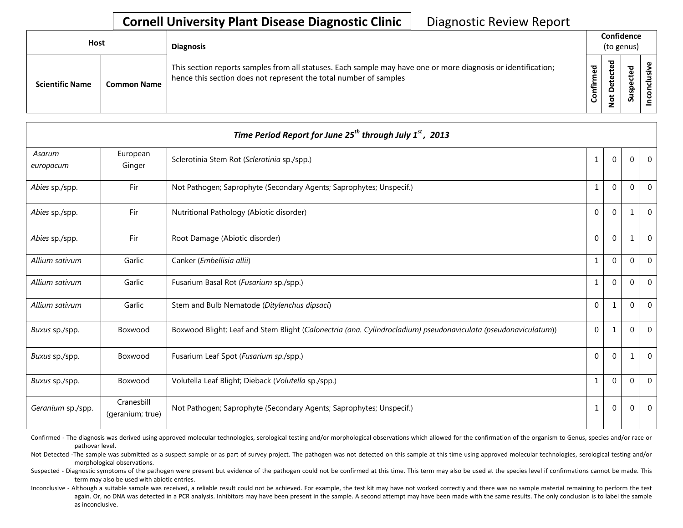| <b>Host</b>            |                    | <b>Diagnosis</b>                                                                                                                                                                   |           |                  | Confidence<br>(to genus) |    |
|------------------------|--------------------|------------------------------------------------------------------------------------------------------------------------------------------------------------------------------------|-----------|------------------|--------------------------|----|
| <b>Scientific Name</b> | <b>Common Name</b> | This section reports samples from all statuses. Each sample may have one or more diagnosis or identification;<br>hence this section does not represent the total number of samples | Confirmed | ਠ<br>ะ<br>ى<br>۰ | S                        | ._ |

| Time Period Report for June 25 <sup>th</sup> through July $1st$ , 2013 |                                |                                                                                                                |              |                |                |                |  |  |  |
|------------------------------------------------------------------------|--------------------------------|----------------------------------------------------------------------------------------------------------------|--------------|----------------|----------------|----------------|--|--|--|
| Asarum<br>europacum                                                    | European<br>Ginger             | Sclerotinia Stem Rot (Sclerotinia sp./spp.)                                                                    | 1            | $\Omega$       | $\mathbf{0}$   | $\Omega$       |  |  |  |
| Abies sp./spp.                                                         | Fir                            | Not Pathogen; Saprophyte (Secondary Agents; Saprophytes; Unspecif.)                                            | $\mathbf{1}$ | $\Omega$       | $\Omega$       | $\Omega$       |  |  |  |
| Abies sp./spp.                                                         | Fir                            | Nutritional Pathology (Abiotic disorder)                                                                       | $\Omega$     | $\Omega$       | 1              | $\Omega$       |  |  |  |
| Abies sp./spp.                                                         | Fir                            | Root Damage (Abiotic disorder)                                                                                 | $\Omega$     | $\Omega$       | 1              | $\overline{0}$ |  |  |  |
| Allium sativum                                                         | Garlic                         | Canker (Embellisia allii)                                                                                      | 1            | $\Omega$       | $\overline{0}$ | $\Omega$       |  |  |  |
| Allium sativum                                                         | Garlic                         | Fusarium Basal Rot (Fusarium sp./spp.)                                                                         | 1            | $\Omega$       | $\mathbf 0$    | $\Omega$       |  |  |  |
| Allium sativum                                                         | Garlic                         | Stem and Bulb Nematode (Ditylenchus dipsaci)                                                                   | $\Omega$     | $\mathbf{1}$   | $\Omega$       | $\Omega$       |  |  |  |
| Buxus sp./spp.                                                         | Boxwood                        | Boxwood Blight; Leaf and Stem Blight (Calonectria (ana. Cylindrocladium) pseudonaviculata (pseudonaviculatum)) | $\mathbf 0$  | 1              | $\Omega$       | $\Omega$       |  |  |  |
| Buxus sp./spp.                                                         | Boxwood                        | Fusarium Leaf Spot (Fusarium sp./spp.)                                                                         | $\Omega$     | $\Omega$       | 1              | $\Omega$       |  |  |  |
| Buxus sp./spp.                                                         | Boxwood                        | Volutella Leaf Blight; Dieback (Volutella sp./spp.)                                                            | 1            | $\Omega$       | $\Omega$       | $\Omega$       |  |  |  |
| Geranium sp./spp.                                                      | Cranesbill<br>(geranium; true) | Not Pathogen; Saprophyte (Secondary Agents; Saprophytes; Unspecif.)                                            | $\mathbf{1}$ | $\overline{0}$ | $\mathbf 0$    | $\overline{0}$ |  |  |  |

Confirmed - The diagnosis was derived using approved molecular technologies, serological testing and/or morphological observations which allowed for the confirmation of the organism to Genus, species and/or race or pathovar level.

Not Detected -The sample was submitted as a suspect sample or as part of survey project. The pathogen was not detected on this sample at this time using approved molecular technologies, serological testing and/or morphological observations.

Suspected - Diagnostic symptoms of the pathogen were present but evidence of the pathogen could not be confirmed at this time. This term may also be used at the species level if confirmations cannot be made. This term may also be used with abiotic entries.

Inconclusive - Although a suitable sample was received, a reliable result could not be achieved. For example, the test kit may have not worked correctly and there was no sample material remaining to perform the test again. Or, no DNA was detected in a PCR analysis. Inhibitors may have been present in the sample. A second attempt may have been made with the same results. The only conclusion is to label the sample as inconclusive.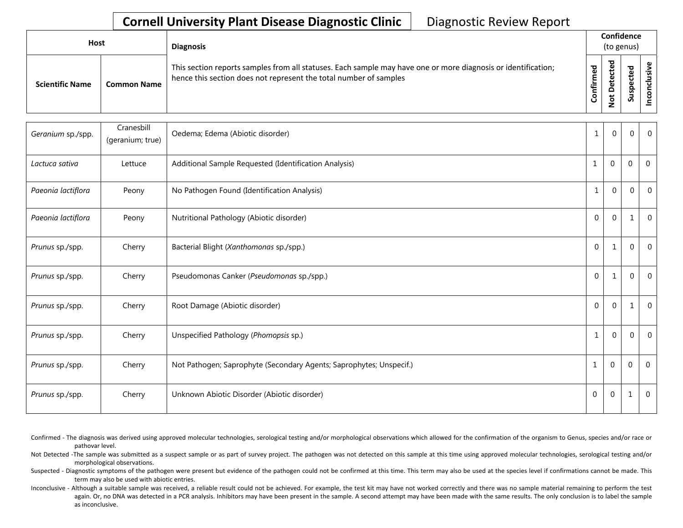| Host                   |                    | <b>Diagnosis</b>                                                                                                                                                                   |                     |                               | Confidence<br>(to genus) |   |
|------------------------|--------------------|------------------------------------------------------------------------------------------------------------------------------------------------------------------------------------|---------------------|-------------------------------|--------------------------|---|
| <b>Scientific Name</b> | <b>Common Name</b> | This section reports samples from all statuses. Each sample may have one or more diagnosis or identification;<br>hence this section does not represent the total number of samples | ਠ<br>Φ<br>٤<br>nfir | ᇃ<br>Φ<br>۵<br>t<br>$\dot{S}$ | ъ<br>Φ<br>ω<br>ဒ္ဓ<br>ಀಁ | s |

| Geranium sp./spp.  | Cranesbill<br>(geranium; true) | Oedema; Edema (Abiotic disorder)                                    | $\mathbf{1}$ | $\Omega$ | $\overline{0}$ | $\Omega$       |
|--------------------|--------------------------------|---------------------------------------------------------------------|--------------|----------|----------------|----------------|
| Lactuca sativa     | Lettuce                        | Additional Sample Requested (Identification Analysis)               | $\mathbf{1}$ | $\Omega$ | $\overline{0}$ | $\Omega$       |
| Paeonia lactiflora | Peony                          | No Pathogen Found (Identification Analysis)                         | 1            | $\Omega$ | $\mathbf{0}$   | $\Omega$       |
| Paeonia lactiflora | Peony                          | Nutritional Pathology (Abiotic disorder)                            | $\mathbf{0}$ | $\Omega$ | 1              | $\overline{0}$ |
| Prunus sp./spp.    | Cherry                         | Bacterial Blight (Xanthomonas sp./spp.)                             | $\mathbf{0}$ |          | $\overline{0}$ | $\Omega$       |
| Prunus sp./spp.    | Cherry                         | Pseudomonas Canker (Pseudomonas sp./spp.)                           | $\mathbf{0}$ | 1        | $\mathbf 0$    | $\Omega$       |
| Prunus sp./spp.    | Cherry                         | Root Damage (Abiotic disorder)                                      | $\Omega$     | $\Omega$ |                | $\Omega$       |
| Prunus sp./spp.    | Cherry                         | Unspecified Pathology (Phomopsis sp.)                               | 1            | $\Omega$ | $\overline{0}$ | $\Omega$       |
| Prunus sp./spp.    | Cherry                         | Not Pathogen; Saprophyte (Secondary Agents; Saprophytes; Unspecif.) | 1            | $\Omega$ | 0              | 0              |
| Prunus sp./spp.    | Cherry                         | Unknown Abiotic Disorder (Abiotic disorder)                         | $\Omega$     | $\Omega$ | -1             | $\mathbf{0}$   |

- Confirmed The diagnosis was derived using approved molecular technologies, serological testing and/or morphological observations which allowed for the confirmation of the organism to Genus, species and/or race or pathovar level.
- Not Detected -The sample was submitted as a suspect sample or as part of survey project. The pathogen was not detected on this sample at this time using approved molecular technologies, serological testing and/or morphological observations.
- Suspected Diagnostic symptoms of the pathogen were present but evidence of the pathogen could not be confirmed at this time. This term may also be used at the species level if confirmations cannot be made. This term may also be used with abiotic entries.
- Inconclusive Although a suitable sample was received, a reliable result could not be achieved. For example, the test kit may have not worked correctly and there was no sample material remaining to perform the test again. Or, no DNA was detected in a PCR analysis. Inhibitors may have been present in the sample. A second attempt may have been made with the same results. The only conclusion is to label the sample as inconclusive.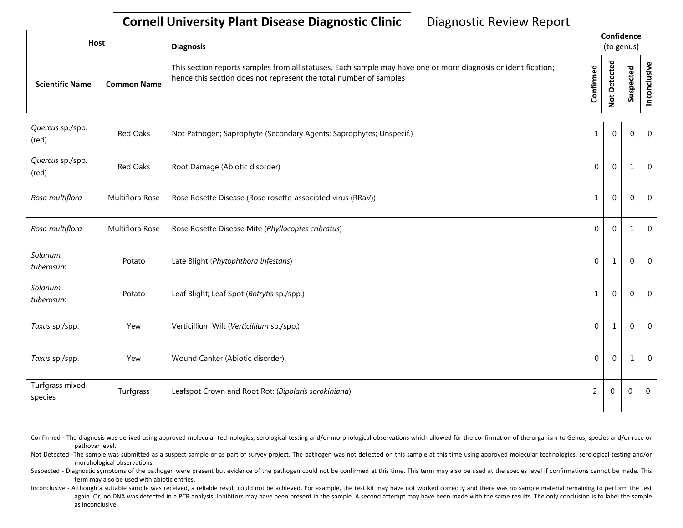| Host                   |                    | <b>Diagnosis</b>                                                                                                                                                                   |            |                                 | Confidence<br>(to genus) |  |
|------------------------|--------------------|------------------------------------------------------------------------------------------------------------------------------------------------------------------------------------|------------|---------------------------------|--------------------------|--|
| <b>Scientific Name</b> | <b>Common Name</b> | This section reports samples from all statuses. Each sample may have one or more diagnosis or identification;<br>hence this section does not represent the total number of samples | ဥ<br>onfir | ᅙ<br>ω<br>ω<br>▭<br>ى<br>۰<br>- | ᅙ<br>Φ<br>ن<br>9s<br>S   |  |

| Quercus sp./spp.<br>(red)  | Red Oaks        | Not Pathogen; Saprophyte (Secondary Agents; Saprophytes; Unspecif.) | $1\,$          | $\mathbf 0$  | $\mathbf{0}$   | $\overline{0}$ |
|----------------------------|-----------------|---------------------------------------------------------------------|----------------|--------------|----------------|----------------|
| Quercus sp./spp.<br>(red)  | <b>Red Oaks</b> | Root Damage (Abiotic disorder)                                      | $\mathbf{0}$   | $\Omega$     |                | $\Omega$       |
| Rosa multiflora            | Multiflora Rose | Rose Rosette Disease (Rose rosette-associated virus (RRaV))         | 1              | $\mathbf 0$  | $\mathbf 0$    | $\mathbf{0}$   |
| Rosa multiflora            | Multiflora Rose | Rose Rosette Disease Mite (Phyllocoptes cribratus)                  | $\mathbf 0$    | $\mathbf 0$  | 1              | $\mathbf{0}$   |
| Solanum<br>tuberosum       | Potato          | Late Blight (Phytophthora infestans)                                | $\mathbf 0$    | 1            | $\overline{0}$ | $\overline{0}$ |
| Solanum<br>tuberosum       | Potato          | Leaf Blight; Leaf Spot (Botrytis sp./spp.)                          | $\mathbf{1}$   | $\Omega$     | $\Omega$       | $\Omega$       |
| Taxus sp./spp.             | Yew             | Verticillium Wilt (Verticillium sp./spp.)                           | $\mathbf 0$    | 1            | $\mathbf 0$    | $\Omega$       |
| Taxus sp./spp.             | Yew             | Wound Canker (Abiotic disorder)                                     | 0              | $\Omega$     | $\mathbf{1}$   | $\Omega$       |
| Turfgrass mixed<br>species | Turfgrass       | Leafspot Crown and Root Rot; (Bipolaris sorokiniana)                | $\overline{2}$ | $\mathbf{0}$ | 0              | $\mathbf{0}$   |

- Confirmed The diagnosis was derived using approved molecular technologies, serological testing and/or morphological observations which allowed for the confirmation of the organism to Genus, species and/or race or pathovar level.
- Not Detected -The sample was submitted as a suspect sample or as part of survey project. The pathogen was not detected on this sample at this time using approved molecular technologies, serological testing and/or morphological observations.
- Suspected Diagnostic symptoms of the pathogen were present but evidence of the pathogen could not be confirmed at this time. This term may also be used at the species level if confirmations cannot be made. This term may also be used with abiotic entries.
- Inconclusive Although a suitable sample was received, a reliable result could not be achieved. For example, the test kit may have not worked correctly and there was no sample material remaining to perform the test again. Or, no DNA was detected in a PCR analysis. Inhibitors may have been present in the sample. A second attempt may have been made with the same results. The only conclusion is to label the sample as inconclusive.